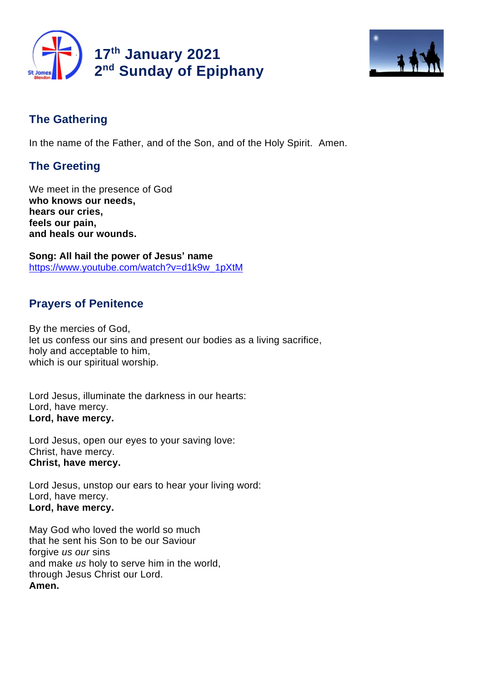



# **The Gathering**

In the name of the Father, and of the Son, and of the Holy Spirit. Amen.

# **The Greeting**

We meet in the presence of God **who knows our needs, hears our cries, feels our pain, and heals our wounds.**

**Song: All hail the power of Jesus' name** https://www.youtube.com/watch?v=d1k9w\_1pXtM

# **Prayers of Penitence**

By the mercies of God, let us confess our sins and present our bodies as a living sacrifice, holy and acceptable to him, which is our spiritual worship.

Lord Jesus, illuminate the darkness in our hearts: Lord, have mercy. **Lord, have mercy.**

Lord Jesus, open our eyes to your saving love: Christ, have mercy. **Christ, have mercy.**

Lord Jesus, unstop our ears to hear your living word: Lord, have mercy. **Lord, have mercy.**

May God who loved the world so much that he sent his Son to be our Saviour forgive *us our* sins and make *us* holy to serve him in the world, through Jesus Christ our Lord. **Amen.**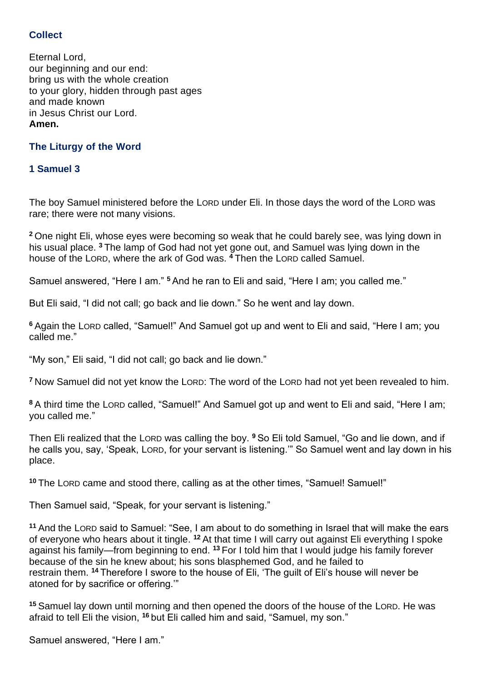## **Collect**

Eternal Lord, our beginning and our end: bring us with the whole creation to your glory, hidden through past ages and made known in Jesus Christ our Lord. **Amen.**

## **The Liturgy of the Word**

### **1 Samuel 3**

The boy Samuel ministered before the LORD under Eli. In those days the word of the LORD was rare; there were not many visions.

**<sup>2</sup>** One night Eli, whose eyes were becoming so weak that he could barely see, was lying down in his usual place. **<sup>3</sup>** The lamp of God had not yet gone out, and Samuel was lying down in the house of the LORD, where the ark of God was. **<sup>4</sup>** Then the LORD called Samuel.

Samuel answered, "Here I am." **<sup>5</sup>** And he ran to Eli and said, "Here I am; you called me."

But Eli said, "I did not call; go back and lie down." So he went and lay down.

**<sup>6</sup>** Again the LORD called, "Samuel!" And Samuel got up and went to Eli and said, "Here I am; you called me."

"My son," Eli said, "I did not call; go back and lie down."

**<sup>7</sup>** Now Samuel did not yet know the LORD: The word of the LORD had not yet been revealed to him.

**<sup>8</sup>** A third time the LORD called, "Samuel!" And Samuel got up and went to Eli and said, "Here I am; you called me."

Then Eli realized that the LORD was calling the boy. **<sup>9</sup>** So Eli told Samuel, "Go and lie down, and if he calls you, say, 'Speak, LORD, for your servant is listening.'" So Samuel went and lay down in his place.

**<sup>10</sup>** The LORD came and stood there, calling as at the other times, "Samuel! Samuel!"

Then Samuel said, "Speak, for your servant is listening."

**<sup>11</sup>** And the LORD said to Samuel: "See, I am about to do something in Israel that will make the ears of everyone who hears about it tingle. <sup>12</sup> At that time I will carry out against Eli everything I spoke against his family—from beginning to end. <sup>13</sup> For I told him that I would judge his family forever because of the sin he knew about; his sons blasphemed God, and he failed to restrain them. **<sup>14</sup>** Therefore I swore to the house of Eli, 'The guilt of Eli's house will never be atoned for by sacrifice or offering.'"

**<sup>15</sup>** Samuel lay down until morning and then opened the doors of the house of the LORD. He was afraid to tell Eli the vision, <sup>16</sup> but Eli called him and said, "Samuel, my son."

Samuel answered, "Here I am."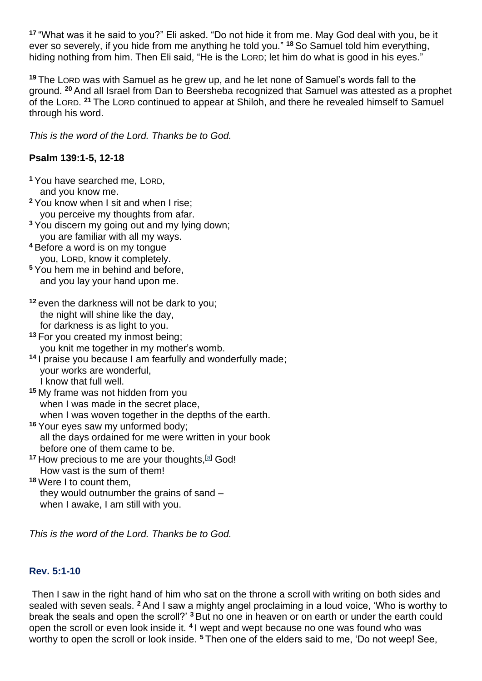**<sup>17</sup>** "What was it he said to you?" Eli asked. "Do not hide it from me. May God deal with you, be it ever so severely, if you hide from me anything he told you." **<sup>18</sup>** So Samuel told him everything, hiding nothing from him. Then Eli said, "He is the LORD; let him do what is good in his eyes."

**<sup>19</sup>** The LORD was with Samuel as he grew up, and he let none of Samuel's words fall to the ground. **<sup>20</sup>** And all Israel from Dan to Beersheba recognized that Samuel was attested as a prophet of the LORD. **<sup>21</sup>** The LORD continued to appear at Shiloh, and there he revealed himself to Samuel through his word.

*This is the word of the Lord. Thanks be to God.*

## **Psalm 139:1-5, 12-18**

- **<sup>1</sup>** You have searched me, LORD, and you know me.
- **<sup>2</sup>** You know when I sit and when I rise; you perceive my thoughts from afar.
- **<sup>3</sup>** You discern my going out and my lying down; you are familiar with all my ways.
- **<sup>4</sup>** Before a word is on my tongue you, LORD, know it completely.
- **<sup>5</sup>** You hem me in behind and before, and you lay your hand upon me.
- **<sup>12</sup>** even the darkness will not be dark to you; the night will shine like the day. for darkness is as light to you.
- **<sup>13</sup>** For you created my inmost being; you knit me together in my mother's womb.
- **<sup>14</sup>** I praise you because I am fearfully and wonderfully made; your works are wonderful, I know that full well.
- **<sup>15</sup>** My frame was not hidden from you when I was made in the secret place, when I was woven together in the depths of the earth.
- **<sup>16</sup>** Your eyes saw my unformed body; all the days ordained for me were written in your book before one of them came to be.
- <sup>17</sup> How precious to me are your thoughts, [a] God! How vast is the sum of them!
- **<sup>18</sup>** Were I to count them, they would outnumber the grains of sand – when I awake, I am still with you.

*This is the word of the Lord. Thanks be to God.*

## **Rev. 5:1-10**

Then I saw in the right hand of him who sat on the throne a scroll with writing on both sides and sealed with seven seals. **<sup>2</sup>** And I saw a mighty angel proclaiming in a loud voice, 'Who is worthy to break the seals and open the scroll?' **<sup>3</sup>** But no one in heaven or on earth or under the earth could open the scroll or even look inside it. **<sup>4</sup>** I wept and wept because no one was found who was worthy to open the scroll or look inside. **<sup>5</sup>** Then one of the elders said to me, 'Do not weep! See,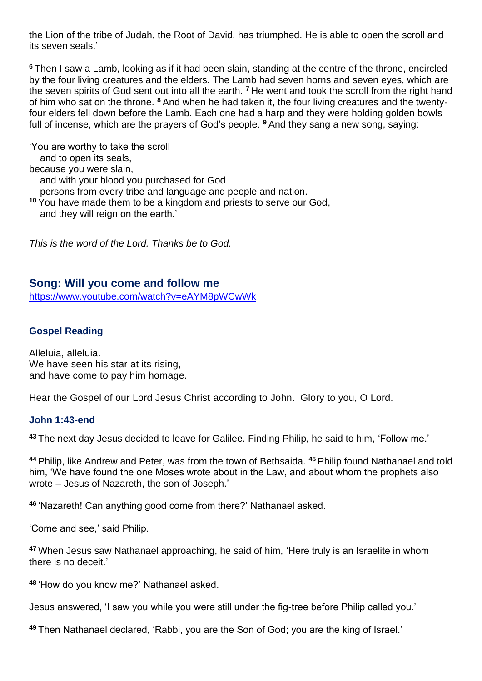the Lion of the tribe of Judah, the Root of David, has triumphed. He is able to open the scroll and its seven seals.'

**<sup>6</sup>** Then I saw a Lamb, looking as if it had been slain, standing at the centre of the throne, encircled by the four living creatures and the elders. The Lamb had seven horns and seven eyes, which are the seven spirits of God sent out into all the earth. **<sup>7</sup>** He went and took the scroll from the right hand of him who sat on the throne. **<sup>8</sup>** And when he had taken it, the four living creatures and the twentyfour elders fell down before the Lamb. Each one had a harp and they were holding golden bowls full of incense, which are the prayers of God's people. **<sup>9</sup>** And they sang a new song, saying:

'You are worthy to take the scroll and to open its seals, because you were slain, and with your blood you purchased for God persons from every tribe and language and people and nation. **<sup>10</sup>** You have made them to be a kingdom and priests to serve our God, and they will reign on the earth.'

*This is the word of the Lord. Thanks be to God.* 

## **Song: Will you come and follow me**

https://www.youtube.com/watch?v=eAYM8pWCwWk

### **Gospel Reading**

Alleluia, alleluia. We have seen his star at its rising. and have come to pay him homage.

Hear the Gospel of our Lord Jesus Christ according to John. Glory to you, O Lord.

#### **John 1:43-end**

**<sup>43</sup>** The next day Jesus decided to leave for Galilee. Finding Philip, he said to him, 'Follow me.'

**<sup>44</sup>** Philip, like Andrew and Peter, was from the town of Bethsaida. **<sup>45</sup>** Philip found Nathanael and told him, 'We have found the one Moses wrote about in the Law, and about whom the prophets also wrote – Jesus of Nazareth, the son of Joseph.'

**<sup>46</sup>** 'Nazareth! Can anything good come from there?' Nathanael asked.

'Come and see,' said Philip.

**<sup>47</sup>** When Jesus saw Nathanael approaching, he said of him, 'Here truly is an Israelite in whom there is no deceit.'

**<sup>48</sup>** 'How do you know me?' Nathanael asked.

Jesus answered, 'I saw you while you were still under the fig-tree before Philip called you.'

**<sup>49</sup>** Then Nathanael declared, 'Rabbi, you are the Son of God; you are the king of Israel.'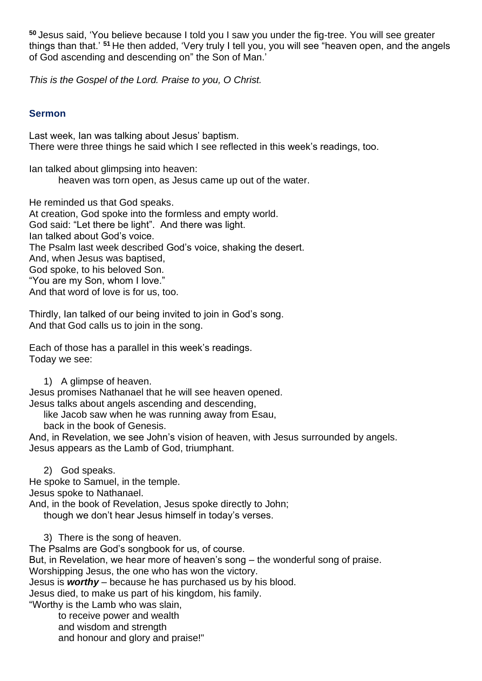**<sup>50</sup>** Jesus said, 'You believe because I told you I saw you under the fig-tree. You will see greater things than that.' **<sup>51</sup>** He then added, 'Very truly I tell you, you will see "heaven open, and the angels of God ascending and descending on" the Son of Man.'

*This is the Gospel of the Lord. Praise to you, O Christ.*

## **Sermon**

Last week, Ian was talking about Jesus' baptism. There were three things he said which I see reflected in this week's readings, too.

Ian talked about glimpsing into heaven: heaven was torn open, as Jesus came up out of the water.

He reminded us that God speaks. At creation, God spoke into the formless and empty world. God said: "Let there be light". And there was light. Ian talked about God's voice. The Psalm last week described God's voice, shaking the desert. And, when Jesus was baptised, God spoke, to his beloved Son. "You are my Son, whom I love." And that word of love is for us, too.

Thirdly, Ian talked of our being invited to join in God's song. And that God calls us to join in the song.

Each of those has a parallel in this week's readings. Today we see:

1) A glimpse of heaven.

Jesus promises Nathanael that he will see heaven opened. Jesus talks about angels ascending and descending,

like Jacob saw when he was running away from Esau,

back in the book of Genesis.

And, in Revelation, we see John's vision of heaven, with Jesus surrounded by angels. Jesus appears as the Lamb of God, triumphant.

2) God speaks. He spoke to Samuel, in the temple.

Jesus spoke to Nathanael.

And, in the book of Revelation, Jesus spoke directly to John;

though we don't hear Jesus himself in today's verses.

3) There is the song of heaven.

The Psalms are God's songbook for us, of course. But, in Revelation, we hear more of heaven's song – the wonderful song of praise. Worshipping Jesus, the one who has won the victory. Jesus is *worthy* – because he has purchased us by his blood. Jesus died, to make us part of his kingdom, his family. "Worthy is the Lamb who was slain,

to receive power and wealth and wisdom and strength and honour and glory and praise!"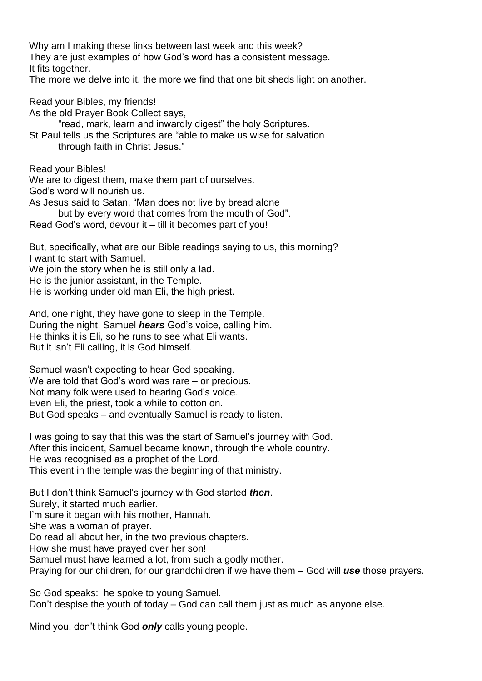Why am I making these links between last week and this week? They are just examples of how God's word has a consistent message. It fits together.

The more we delve into it, the more we find that one bit sheds light on another.

Read your Bibles, my friends! As the old Prayer Book Collect says, "read, mark, learn and inwardly digest" the holy Scriptures. St Paul tells us the Scriptures are "able to make us wise for salvation through faith in Christ Jesus." Read your Bibles! We are to digest them, make them part of ourselves. God's word will nourish us. As Jesus said to Satan, "Man does not live by bread alone but by every word that comes from the mouth of God".

Read God's word, devour it – till it becomes part of you!

But, specifically, what are our Bible readings saying to us, this morning? I want to start with Samuel.

We join the story when he is still only a lad. He is the junior assistant, in the Temple.

He is working under old man Eli, the high priest.

And, one night, they have gone to sleep in the Temple. During the night, Samuel *hears* God's voice, calling him. He thinks it is Eli, so he runs to see what Eli wants. But it isn't Eli calling, it is God himself.

Samuel wasn't expecting to hear God speaking. We are told that God's word was rare – or precious. Not many folk were used to hearing God's voice. Even Eli, the priest, took a while to cotton on. But God speaks – and eventually Samuel is ready to listen.

I was going to say that this was the start of Samuel's journey with God. After this incident, Samuel became known, through the whole country. He was recognised as a prophet of the Lord. This event in the temple was the beginning of that ministry.

But I don't think Samuel's journey with God started *then*. Surely, it started much earlier.

I'm sure it began with his mother, Hannah.

She was a woman of prayer.

Do read all about her, in the two previous chapters.

How she must have prayed over her son!

Samuel must have learned a lot, from such a godly mother.

Praying for our children, for our grandchildren if we have them – God will *use* those prayers.

So God speaks: he spoke to young Samuel. Don't despise the youth of today – God can call them just as much as anyone else.

Mind you, don't think God *only* calls young people.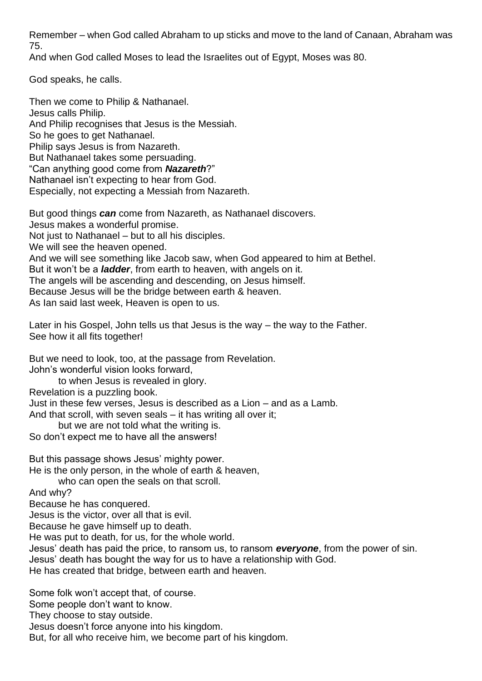Remember – when God called Abraham to up sticks and move to the land of Canaan, Abraham was 75.

And when God called Moses to lead the Israelites out of Egypt, Moses was 80.

God speaks, he calls.

Then we come to Philip & Nathanael. Jesus calls Philip. And Philip recognises that Jesus is the Messiah. So he goes to get Nathanael. Philip says Jesus is from Nazareth. But Nathanael takes some persuading. "Can anything good come from *Nazareth*?" Nathanael isn't expecting to hear from God. Especially, not expecting a Messiah from Nazareth.

But good things *can* come from Nazareth, as Nathanael discovers. Jesus makes a wonderful promise. Not just to Nathanael – but to all his disciples. We will see the heaven opened. And we will see something like Jacob saw, when God appeared to him at Bethel. But it won't be a *ladder*, from earth to heaven, with angels on it. The angels will be ascending and descending, on Jesus himself. Because Jesus will be the bridge between earth & heaven. As Ian said last week, Heaven is open to us.

Later in his Gospel, John tells us that Jesus is the way – the way to the Father. See how it all fits together!

But we need to look, too, at the passage from Revelation. John's wonderful vision looks forward,

to when Jesus is revealed in glory.

Revelation is a puzzling book.

Just in these few verses, Jesus is described as a Lion – and as a Lamb.

And that scroll, with seven seals – it has writing all over it;

but we are not told what the writing is.

So don't expect me to have all the answers!

But this passage shows Jesus' mighty power. He is the only person, in the whole of earth & heaven,

who can open the seals on that scroll.

And why?

Because he has conquered.

Jesus is the victor, over all that is evil.

Because he gave himself up to death.

He was put to death, for us, for the whole world.

Jesus' death has paid the price, to ransom us, to ransom *everyone*, from the power of sin. Jesus' death has bought the way for us to have a relationship with God.

He has created that bridge, between earth and heaven.

Some folk won't accept that, of course.

Some people don't want to know.

They choose to stay outside.

Jesus doesn't force anyone into his kingdom.

But, for all who receive him, we become part of his kingdom.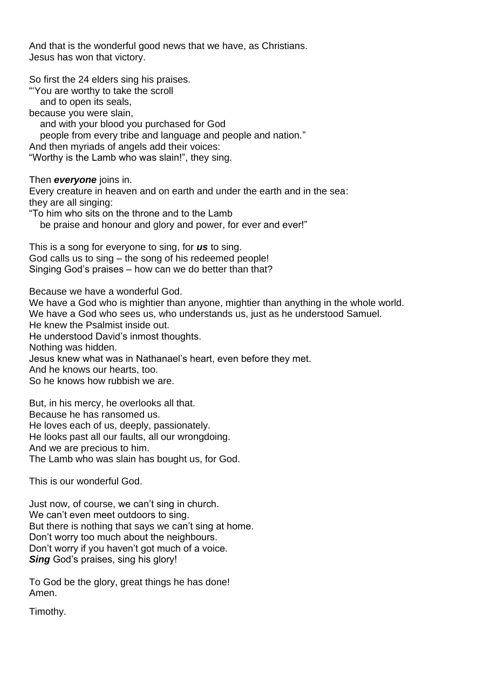And that is the wonderful good news that we have, as Christians. Jesus has won that victory.

So first the 24 elders sing his praises. "'You are worthy to take the scroll

and to open its seals,

because you were slain,

and with your blood you purchased for God

people from every tribe and language and people and nation."

And then myriads of angels add their voices:

"Worthy is the Lamb who was slain!", they sing.

Then *everyone* joins in.

Every creature in heaven and on earth and under the earth and in the sea: they are all singing:

"To him who sits on the throne and to the Lamb

be praise and honour and glory and power, for ever and ever!"

This is a song for everyone to sing, for *us* to sing. God calls us to sing – the song of his redeemed people! Singing God's praises – how can we do better than that?

Because we have a wonderful God.

We have a God who is mightier than anyone, mightier than anything in the whole world. We have a God who sees us, who understands us, just as he understood Samuel. He knew the Psalmist inside out. He understood David's inmost thoughts. Nothing was hidden. Jesus knew what was in Nathanael's heart, even before they met. And he knows our hearts, too. So he knows how rubbish we are.

But, in his mercy, he overlooks all that. Because he has ransomed us. He loves each of us, deeply, passionately. He looks past all our faults, all our wrongdoing. And we are precious to him. The Lamb who was slain has bought us, for God.

This is our wonderful God.

Just now, of course, we can't sing in church. We can't even meet outdoors to sing. But there is nothing that says we can't sing at home. Don't worry too much about the neighbours. Don't worry if you haven't got much of a voice. *Sing* God's praises, sing his glory!

To God be the glory, great things he has done! Amen.

Timothy.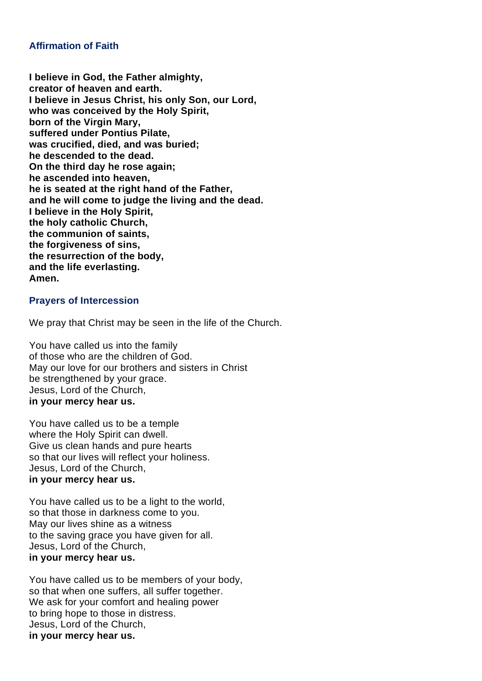#### **Affirmation of Faith**

**I believe in God, the Father almighty, creator of heaven and earth. I believe in Jesus Christ, his only Son, our Lord, who was conceived by the Holy Spirit, born of the Virgin Mary, suffered under Pontius Pilate, was crucified, died, and was buried; he descended to the dead. On the third day he rose again; he ascended into heaven, he is seated at the right hand of the Father, and he will come to judge the living and the dead. I believe in the Holy Spirit, the holy catholic Church, the communion of saints, the forgiveness of sins, the resurrection of the body, and the life everlasting. Amen.**

#### **Prayers of Intercession**

We pray that Christ may be seen in the life of the Church.

You have called us into the family of those who are the children of God. May our love for our brothers and sisters in Christ be strengthened by your grace. Jesus, Lord of the Church, **in your mercy hear us.**

You have called us to be a temple where the Holy Spirit can dwell. Give us clean hands and pure hearts so that our lives will reflect your holiness. Jesus, Lord of the Church, **in your mercy hear us.**

You have called us to be a light to the world, so that those in darkness come to you. May our lives shine as a witness to the saving grace you have given for all. Jesus, Lord of the Church, **in your mercy hear us.**

You have called us to be members of your body, so that when one suffers, all suffer together. We ask for your comfort and healing power to bring hope to those in distress. Jesus, Lord of the Church, **in your mercy hear us.**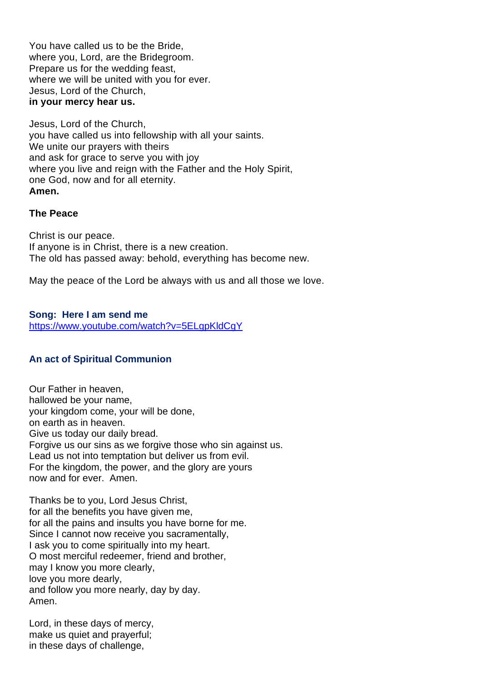You have called us to be the Bride, where you, Lord, are the Bridegroom. Prepare us for the wedding feast, where we will be united with you for ever. Jesus, Lord of the Church, **in your mercy hear us.**

Jesus, Lord of the Church, you have called us into fellowship with all your saints. We unite our prayers with theirs and ask for grace to serve you with joy where you live and reign with the Father and the Holy Spirit, one God, now and for all eternity. **Amen.**

#### **The Peace**

Christ is our peace. If anyone is in Christ, there is a new creation. The old has passed away: behold, everything has become new.

May the peace of the Lord be always with us and all those we love.

## **Song: Here I am send me**

https://www.youtube.com/watch?v=5ELgpKldCgY

### **An act of Spiritual Communion**

Our Father in heaven, hallowed be your name, your kingdom come, your will be done, on earth as in heaven. Give us today our daily bread. Forgive us our sins as we forgive those who sin against us. Lead us not into temptation but deliver us from evil. For the kingdom, the power, and the glory are yours now and for ever. Amen.

Thanks be to you, Lord Jesus Christ, for all the benefits you have given me, for all the pains and insults you have borne for me. Since I cannot now receive you sacramentally, I ask you to come spiritually into my heart. O most merciful redeemer, friend and brother, may I know you more clearly, love you more dearly, and follow you more nearly, day by day. Amen.

Lord, in these days of mercy, make us quiet and prayerful; in these days of challenge,